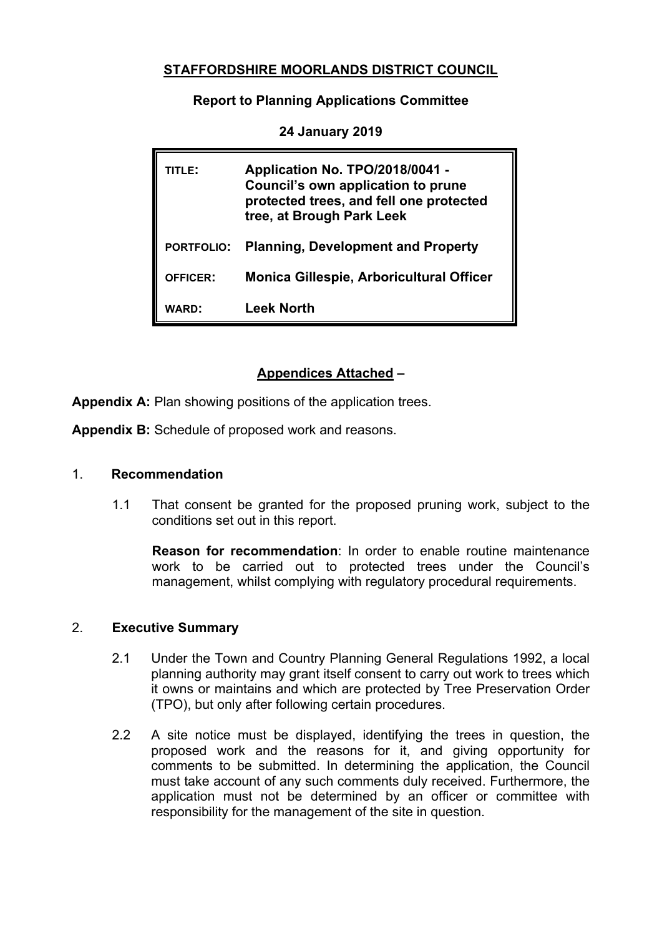## **STAFFORDSHIRE MOORLANDS DISTRICT COUNCIL**

**Report to Planning Applications Committee**

| <b>TITLE:</b>     | Application No. TPO/2018/0041 -<br>Council's own application to prune<br>protected trees, and fell one protected<br>tree, at Brough Park Leek |
|-------------------|-----------------------------------------------------------------------------------------------------------------------------------------------|
| <b>PORTFOLIO:</b> | <b>Planning, Development and Property</b>                                                                                                     |
| <b>OFFICER:</b>   | <b>Monica Gillespie, Arboricultural Officer</b>                                                                                               |
| <b>WARD:</b>      | Leek North                                                                                                                                    |

**24 January 2019**

# **Appendices Attached –**

**Appendix A:** Plan showing positions of the application trees.

**Appendix B:** Schedule of proposed work and reasons.

#### 1. **Recommendation**

1.1 That consent be granted for the proposed pruning work, subject to the conditions set out in this report.

**Reason for recommendation**: In order to enable routine maintenance work to be carried out to protected trees under the Council's management, whilst complying with regulatory procedural requirements.

### 2. **Executive Summary**

- 2.1 Under the Town and Country Planning General Regulations 1992, a local planning authority may grant itself consent to carry out work to trees which it owns or maintains and which are protected by Tree Preservation Order (TPO), but only after following certain procedures.
- 2.2 A site notice must be displayed, identifying the trees in question, the proposed work and the reasons for it, and giving opportunity for comments to be submitted. In determining the application, the Council must take account of any such comments duly received. Furthermore, the application must not be determined by an officer or committee with responsibility for the management of the site in question.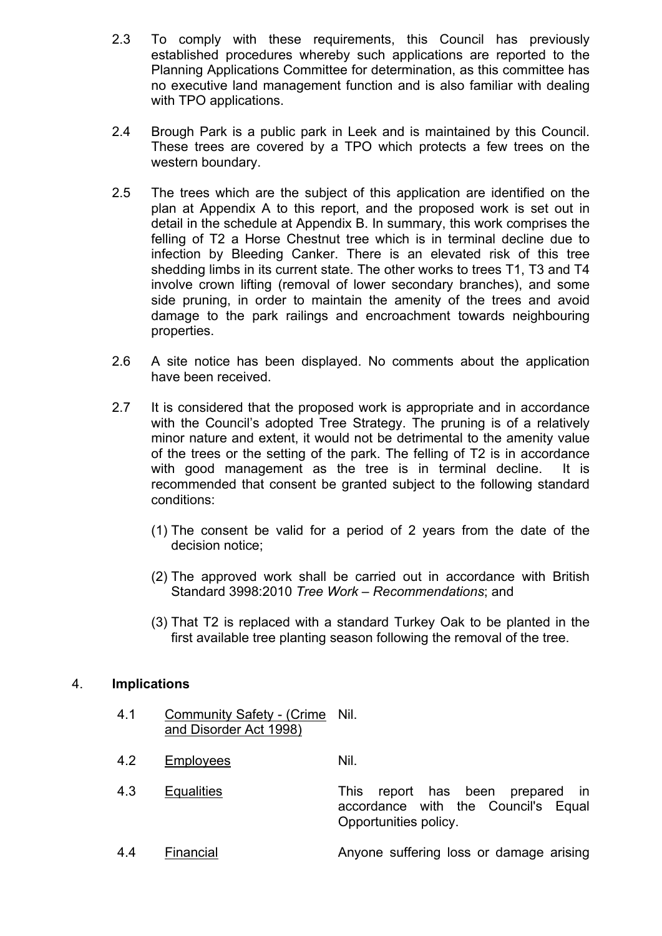- 2.3 To comply with these requirements, this Council has previously established procedures whereby such applications are reported to the Planning Applications Committee for determination, as this committee has no executive land management function and is also familiar with dealing with TPO applications.
- 2.4 Brough Park is a public park in Leek and is maintained by this Council. These trees are covered by a TPO which protects a few trees on the western boundary.
- 2.5 The trees which are the subject of this application are identified on the plan at Appendix A to this report, and the proposed work is set out in detail in the schedule at Appendix B. In summary, this work comprises the felling of T2 a Horse Chestnut tree which is in terminal decline due to infection by Bleeding Canker. There is an elevated risk of this tree shedding limbs in its current state. The other works to trees T1, T3 and T4 involve crown lifting (removal of lower secondary branches), and some side pruning, in order to maintain the amenity of the trees and avoid damage to the park railings and encroachment towards neighbouring properties.
- 2.6 A site notice has been displayed. No comments about the application have been received.
- 2.7 It is considered that the proposed work is appropriate and in accordance with the Council's adopted Tree Strategy. The pruning is of a relatively minor nature and extent, it would not be detrimental to the amenity value of the trees or the setting of the park. The felling of T2 is in accordance with good management as the tree is in terminal decline. It is recommended that consent be granted subject to the following standard conditions:
	- (1) The consent be valid for a period of 2 years from the date of the decision notice;
	- (2) The approved work shall be carried out in accordance with British Standard 3998:2010 *Tree Work – Recommendations*; and
	- (3) That T2 is replaced with a standard Turkey Oak to be planted in the first available tree planting season following the removal of the tree.

### 4. **Implications**

- 4.1 Community Safety (Crime Nil. and Disorder Act 1998)
- 4.2 Employees Nil.
- 4.3 Equalities This report has been prepared in accordance with the Council's Equal Opportunities policy.
- 4.4 Financial Anyone suffering loss or damage arising